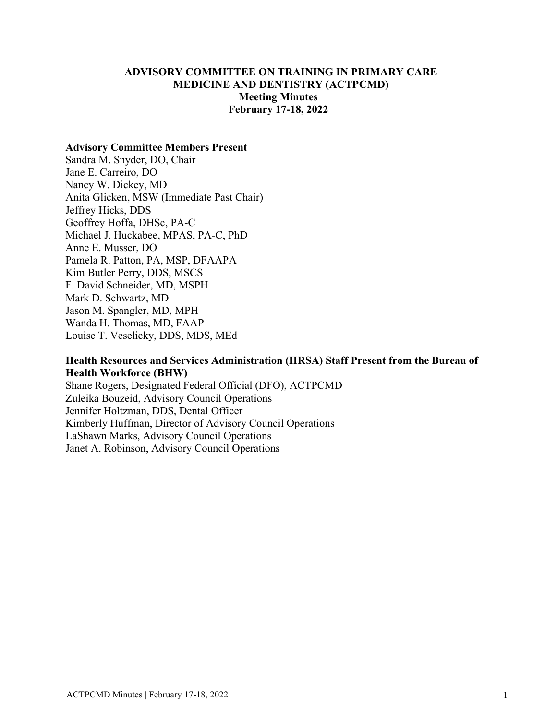# **ADVISORY COMMITTEE ON TRAINING IN PRIMARY CARE MEDICINE AND DENTISTRY (ACTPCMD) Meeting Minutes February 17-18, 2022**

#### **Advisory Committee Members Present**

Sandra M. Snyder, DO, Chair Jane E. Carreiro, DO Nancy W. Dickey, MD Anita Glicken, MSW (Immediate Past Chair) Jeffrey Hicks, DDS Geoffrey Hoffa, DHSc, PA-C Michael J. Huckabee, MPAS, PA-C, PhD Anne E. Musser, DO Pamela R. Patton, PA, MSP, DFAAPA Kim Butler Perry, DDS, MSCS F. David Schneider, MD, MSPH Mark D. Schwartz, MD Jason M. Spangler, MD, MPH Wanda H. Thomas, MD, FAAP Louise T. Veselicky, DDS, MDS, MEd

## **Health Resources and Services Administration (HRSA) Staff Present from the Bureau of Health Workforce (BHW)**

Shane Rogers, Designated Federal Official (DFO), ACTPCMD Zuleika Bouzeid, Advisory Council Operations Jennifer Holtzman, DDS, Dental Officer Kimberly Huffman, Director of Advisory Council Operations LaShawn Marks, Advisory Council Operations Janet A. Robinson, Advisory Council Operations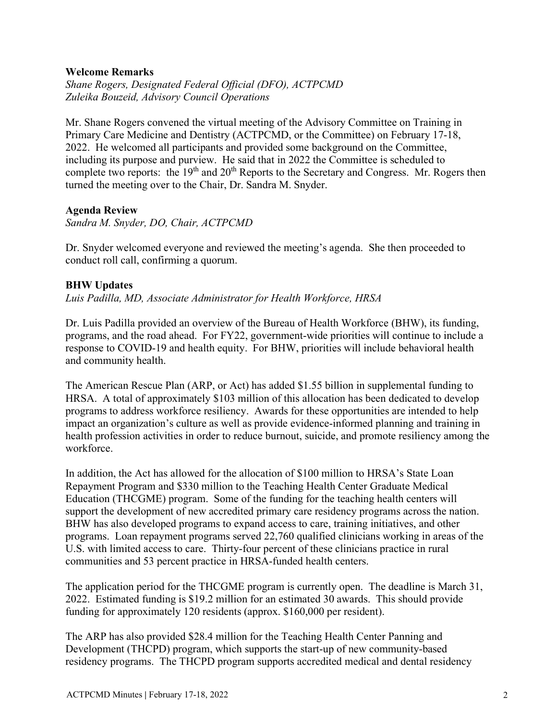### **Welcome Remarks**

*Shane Rogers, Designated Federal Official (DFO), ACTPCMD Zuleika Bouzeid, Advisory Council Operations*

Mr. Shane Rogers convened the virtual meeting of the Advisory Committee on Training in Primary Care Medicine and Dentistry (ACTPCMD, or the Committee) on February 17-18, 2022. He welcomed all participants and provided some background on the Committee, including its purpose and purview. He said that in 2022 the Committee is scheduled to complete two reports: the 19<sup>th</sup> and 20<sup>th</sup> Reports to the Secretary and Congress. Mr. Rogers then turned the meeting over to the Chair, Dr. Sandra M. Snyder.

# **Agenda Review**

*Sandra M. Snyder, DO, Chair, ACTPCMD*

Dr. Snyder welcomed everyone and reviewed the meeting's agenda. She then proceeded to conduct roll call, confirming a quorum.

# **BHW Updates**

*Luis Padilla, MD, Associate Administrator for Health Workforce, HRSA*

Dr. Luis Padilla provided an overview of the Bureau of Health Workforce (BHW), its funding, programs, and the road ahead. For FY22, government-wide priorities will continue to include a response to COVID-19 and health equity. For BHW, priorities will include behavioral health and community health.

The American Rescue Plan (ARP, or Act) has added \$1.55 billion in supplemental funding to HRSA. A total of approximately \$103 million of this allocation has been dedicated to develop programs to address workforce resiliency. Awards for these opportunities are intended to help impact an organization's culture as well as provide evidence-informed planning and training in health profession activities in order to reduce burnout, suicide, and promote resiliency among the workforce.

In addition, the Act has allowed for the allocation of \$100 million to HRSA's State Loan Repayment Program and \$330 million to the Teaching Health Center Graduate Medical Education (THCGME) program. Some of the funding for the teaching health centers will support the development of new accredited primary care residency programs across the nation. BHW has also developed programs to expand access to care, training initiatives, and other programs. Loan repayment programs served 22,760 qualified clinicians working in areas of the U.S. with limited access to care. Thirty-four percent of these clinicians practice in rural communities and 53 percent practice in HRSA-funded health centers.

The application period for the THCGME program is currently open. The deadline is March 31, 2022. Estimated funding is \$19.2 million for an estimated 30 awards. This should provide funding for approximately 120 residents (approx. \$160,000 per resident).

The ARP has also provided \$28.4 million for the Teaching Health Center Panning and Development (THCPD) program, which supports the start-up of new community-based residency programs. The THCPD program supports accredited medical and dental residency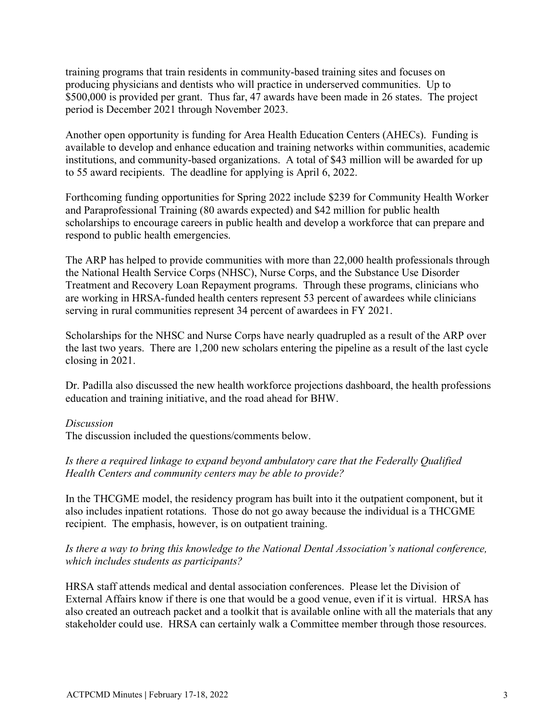training programs that train residents in community-based training sites and focuses on producing physicians and dentists who will practice in underserved communities. Up to \$500,000 is provided per grant. Thus far, 47 awards have been made in 26 states. The project period is December 2021 through November 2023.

Another open opportunity is funding for Area Health Education Centers (AHECs). Funding is available to develop and enhance education and training networks within communities, academic institutions, and community-based organizations. A total of \$43 million will be awarded for up to 55 award recipients. The deadline for applying is April 6, 2022.

Forthcoming funding opportunities for Spring 2022 include \$239 for Community Health Worker and Paraprofessional Training (80 awards expected) and \$42 million for public health scholarships to encourage careers in public health and develop a workforce that can prepare and respond to public health emergencies.

The ARP has helped to provide communities with more than 22,000 health professionals through the National Health Service Corps (NHSC), Nurse Corps, and the Substance Use Disorder Treatment and Recovery Loan Repayment programs. Through these programs, clinicians who are working in HRSA-funded health centers represent 53 percent of awardees while clinicians serving in rural communities represent 34 percent of awardees in FY 2021.

Scholarships for the NHSC and Nurse Corps have nearly quadrupled as a result of the ARP over the last two years. There are 1,200 new scholars entering the pipeline as a result of the last cycle closing in 2021.

Dr. Padilla also discussed the new health workforce projections dashboard, the health professions education and training initiative, and the road ahead for BHW.

#### *Discussion*

The discussion included the questions/comments below.

# *Is there a required linkage to expand beyond ambulatory care that the Federally Qualified Health Centers and community centers may be able to provide?*

In the THCGME model, the residency program has built into it the outpatient component, but it also includes inpatient rotations. Those do not go away because the individual is a THCGME recipient. The emphasis, however, is on outpatient training.

# *Is there a way to bring this knowledge to the National Dental Association's national conference, which includes students as participants?*

HRSA staff attends medical and dental association conferences. Please let the Division of External Affairs know if there is one that would be a good venue, even if it is virtual. HRSA has also created an outreach packet and a toolkit that is available online with all the materials that any stakeholder could use. HRSA can certainly walk a Committee member through those resources.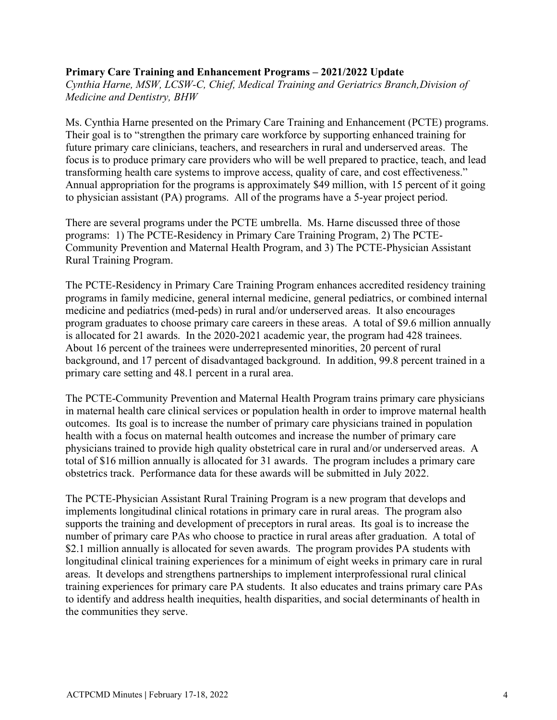### **Primary Care Training and Enhancement Programs – 2021/2022 Update**

*Cynthia Harne, MSW, LCSW-C, Chief, Medical Training and Geriatrics Branch,Division of Medicine and Dentistry, BHW*

Ms. Cynthia Harne presented on the Primary Care Training and Enhancement (PCTE) programs. Their goal is to "strengthen the primary care workforce by supporting enhanced training for future primary care clinicians, teachers, and researchers in rural and underserved areas. The focus is to produce primary care providers who will be well prepared to practice, teach, and lead transforming health care systems to improve access, quality of care, and cost effectiveness." Annual appropriation for the programs is approximately \$49 million, with 15 percent of it going to physician assistant (PA) programs. All of the programs have a 5-year project period.

There are several programs under the PCTE umbrella. Ms. Harne discussed three of those programs: 1) The PCTE-Residency in Primary Care Training Program, 2) The PCTE-Community Prevention and Maternal Health Program, and 3) The PCTE-Physician Assistant Rural Training Program.

The PCTE-Residency in Primary Care Training Program enhances accredited residency training programs in family medicine, general internal medicine, general pediatrics, or combined internal medicine and pediatrics (med-peds) in rural and/or underserved areas. It also encourages program graduates to choose primary care careers in these areas. A total of \$9.6 million annually is allocated for 21 awards. In the 2020-2021 academic year, the program had 428 trainees. About 16 percent of the trainees were underrepresented minorities, 20 percent of rural background, and 17 percent of disadvantaged background. In addition, 99.8 percent trained in a primary care setting and 48.1 percent in a rural area.

The PCTE-Community Prevention and Maternal Health Program trains primary care physicians in maternal health care clinical services or population health in order to improve maternal health outcomes. Its goal is to increase the number of primary care physicians trained in population health with a focus on maternal health outcomes and increase the number of primary care physicians trained to provide high quality obstetrical care in rural and/or underserved areas. A total of \$16 million annually is allocated for 31 awards. The program includes a primary care obstetrics track. Performance data for these awards will be submitted in July 2022.

The PCTE-Physician Assistant Rural Training Program is a new program that develops and implements longitudinal clinical rotations in primary care in rural areas. The program also supports the training and development of preceptors in rural areas. Its goal is to increase the number of primary care PAs who choose to practice in rural areas after graduation. A total of \$2.1 million annually is allocated for seven awards. The program provides PA students with longitudinal clinical training experiences for a minimum of eight weeks in primary care in rural areas. It develops and strengthens partnerships to implement interprofessional rural clinical training experiences for primary care PA students. It also educates and trains primary care PAs to identify and address health inequities, health disparities, and social determinants of health in the communities they serve.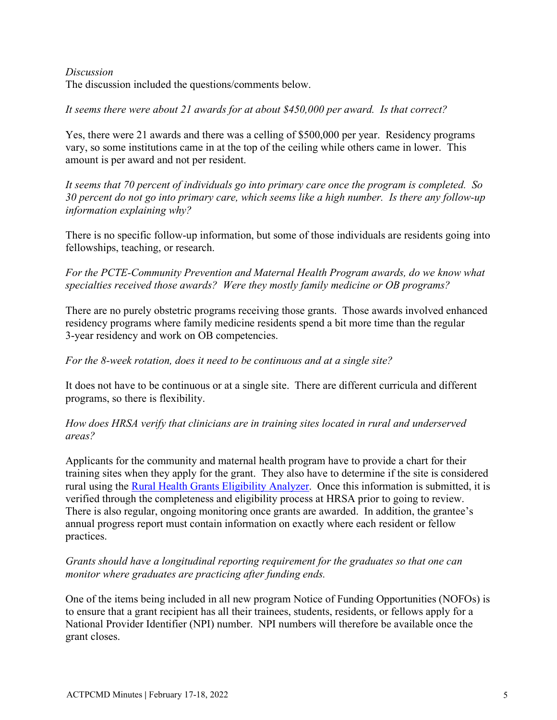*Discussion* The discussion included the questions/comments below.

*It seems there were about 21 awards for at about \$450,000 per award. Is that correct?*

Yes, there were 21 awards and there was a celling of \$500,000 per year. Residency programs vary, so some institutions came in at the top of the ceiling while others came in lower. This amount is per award and not per resident.

*It seems that 70 percent of individuals go into primary care once the program is completed. So 30 percent do not go into primary care, which seems like a high number. Is there any follow-up information explaining why?*

There is no specific follow-up information, but some of those individuals are residents going into fellowships, teaching, or research.

*For the PCTE-Community Prevention and Maternal Health Program awards, do we know what specialties received those awards? Were they mostly family medicine or OB programs?*

There are no purely obstetric programs receiving those grants. Those awards involved enhanced residency programs where family medicine residents spend a bit more time than the regular 3-year residency and work on OB competencies.

# *For the 8-week rotation, does it need to be continuous and at a single site?*

It does not have to be continuous or at a single site. There are different curricula and different programs, so there is flexibility.

*How does HRSA verify that clinicians are in training sites located in rural and underserved areas?*

Applicants for the community and maternal health program have to provide a chart for their training sites when they apply for the grant. They also have to determine if the site is considered rural using the [Rural Health Grants Eligibility Analyzer.](https://data.hrsa.gov/tools/rural-health) Once this information is submitted, it is verified through the completeness and eligibility process at HRSA prior to going to review. There is also regular, ongoing monitoring once grants are awarded. In addition, the grantee's annual progress report must contain information on exactly where each resident or fellow practices.

# *Grants should have a longitudinal reporting requirement for the graduates so that one can monitor where graduates are practicing after funding ends.*

One of the items being included in all new program Notice of Funding Opportunities (NOFOs) is to ensure that a grant recipient has all their trainees, students, residents, or fellows apply for a National Provider Identifier (NPI) number. NPI numbers will therefore be available once the grant closes.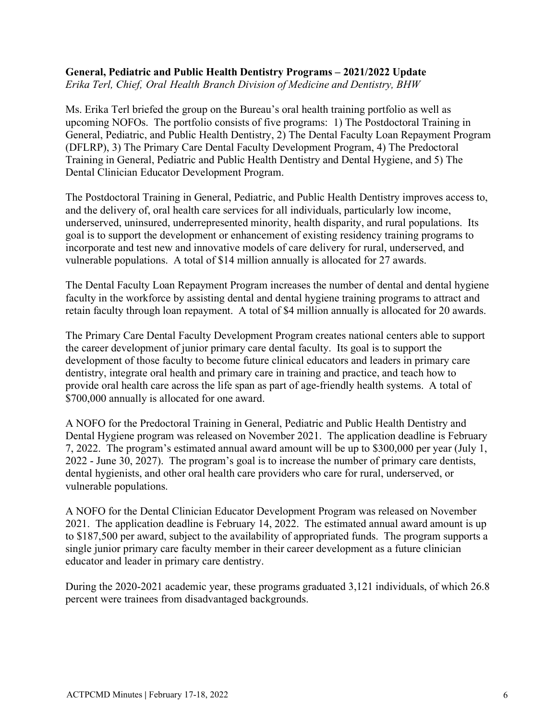#### **General, Pediatric and Public Health Dentistry Programs – 2021/2022 Update** *Erika Terl, Chief, Oral Health Branch Division of Medicine and Dentistry, BHW*

Ms. Erika Terl briefed the group on the Bureau's oral health training portfolio as well as upcoming NOFOs. The portfolio consists of five programs: 1) The Postdoctoral Training in General, Pediatric, and Public Health Dentistry, 2) The Dental Faculty Loan Repayment Program (DFLRP), 3) The Primary Care Dental Faculty Development Program, 4) The Predoctoral Training in General, Pediatric and Public Health Dentistry and Dental Hygiene, and 5) The Dental Clinician Educator Development Program.

The Postdoctoral Training in General, Pediatric, and Public Health Dentistry improves access to, and the delivery of, oral health care services for all individuals, particularly low income, underserved, uninsured, underrepresented minority, health disparity, and rural populations. Its goal is to support the development or enhancement of existing residency training programs to incorporate and test new and innovative models of care delivery for rural, underserved, and vulnerable populations. A total of \$14 million annually is allocated for 27 awards.

The Dental Faculty Loan Repayment Program increases the number of dental and dental hygiene faculty in the workforce by assisting dental and dental hygiene training programs to attract and retain faculty through loan repayment. A total of \$4 million annually is allocated for 20 awards.

The Primary Care Dental Faculty Development Program creates national centers able to support the career development of junior primary care dental faculty. Its goal is to support the development of those faculty to become future clinical educators and leaders in primary care dentistry, integrate oral health and primary care in training and practice, and teach how to provide oral health care across the life span as part of age-friendly health systems. A total of \$700,000 annually is allocated for one award.

A NOFO for the Predoctoral Training in General, Pediatric and Public Health Dentistry and Dental Hygiene program was released on November 2021. The application deadline is February 7, 2022. The program's estimated annual award amount will be up to \$300,000 per year (July 1, 2022 - June 30, 2027). The program's goal is to increase the number of primary care dentists, dental hygienists, and other oral health care providers who care for rural, underserved, or vulnerable populations.

A NOFO for the Dental Clinician Educator Development Program was released on November 2021. The application deadline is February 14, 2022. The estimated annual award amount is up to \$187,500 per award, subject to the availability of appropriated funds. The program supports a single junior primary care faculty member in their career development as a future clinician educator and leader in primary care dentistry.

During the 2020-2021 academic year, these programs graduated 3,121 individuals, of which 26.8 percent were trainees from disadvantaged backgrounds.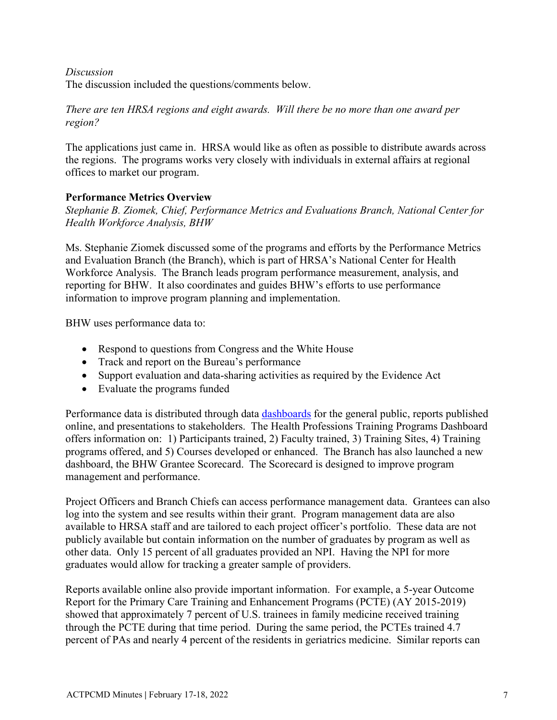## *Discussion*

The discussion included the questions/comments below.

# *There are ten HRSA regions and eight awards. Will there be no more than one award per region?*

The applications just came in. HRSA would like as often as possible to distribute awards across the regions. The programs works very closely with individuals in external affairs at regional offices to market our program.

# **Performance Metrics Overview**

*Stephanie B. Ziomek, Chief, Performance Metrics and Evaluations Branch, National Center for Health Workforce Analysis, BHW*

Ms. Stephanie Ziomek discussed some of the programs and efforts by the Performance Metrics and Evaluation Branch (the Branch), which is part of HRSA's National Center for Health Workforce Analysis. The Branch leads program performance measurement, analysis, and reporting for BHW. It also coordinates and guides BHW's efforts to use performance information to improve program planning and implementation.

BHW uses performance data to:

- Respond to questions from Congress and the White House
- Track and report on the Bureau's performance
- Support evaluation and data-sharing activities as required by the Evidence Act
- Evaluate the programs funded

Performance data is distributed through data [dashboards](https://data.hrsa.gov/data/dashboards) for the general public, reports published online, and presentations to stakeholders. The Health Professions Training Programs Dashboard offers information on: 1) Participants trained, 2) Faculty trained, 3) Training Sites, 4) Training programs offered, and 5) Courses developed or enhanced. The Branch has also launched a new dashboard, the BHW Grantee Scorecard. The Scorecard is designed to improve program management and performance.

Project Officers and Branch Chiefs can access performance management data. Grantees can also log into the system and see results within their grant. Program management data are also available to HRSA staff and are tailored to each project officer's portfolio. These data are not publicly available but contain information on the number of graduates by program as well as other data. Only 15 percent of all graduates provided an NPI. Having the NPI for more graduates would allow for tracking a greater sample of providers.

Reports available online also provide important information. For example, a 5-year Outcome Report for the Primary Care Training and Enhancement Programs (PCTE) (AY 2015-2019) showed that approximately 7 percent of U.S. trainees in family medicine received training through the PCTE during that time period. During the same period, the PCTEs trained 4.7 percent of PAs and nearly 4 percent of the residents in geriatrics medicine. Similar reports can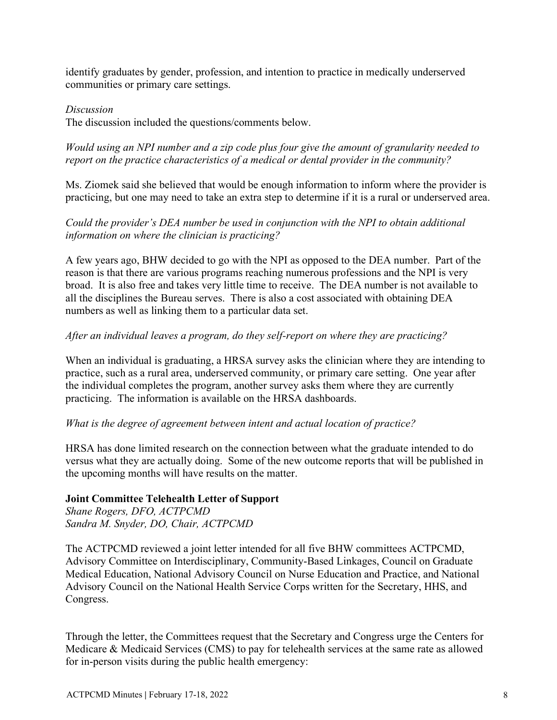identify graduates by gender, profession, and intention to practice in medically underserved communities or primary care settings.

# *Discussion*

The discussion included the questions/comments below.

*Would using an NPI number and a zip code plus four give the amount of granularity needed to report on the practice characteristics of a medical or dental provider in the community?*

Ms. Ziomek said she believed that would be enough information to inform where the provider is practicing, but one may need to take an extra step to determine if it is a rural or underserved area.

# *Could the provider's DEA number be used in conjunction with the NPI to obtain additional information on where the clinician is practicing?*

A few years ago, BHW decided to go with the NPI as opposed to the DEA number. Part of the reason is that there are various programs reaching numerous professions and the NPI is very broad. It is also free and takes very little time to receive. The DEA number is not available to all the disciplines the Bureau serves. There is also a cost associated with obtaining DEA numbers as well as linking them to a particular data set.

# *After an individual leaves a program, do they self-report on where they are practicing?*

When an individual is graduating, a HRSA survey asks the clinician where they are intending to practice, such as a rural area, underserved community, or primary care setting. One year after the individual completes the program, another survey asks them where they are currently practicing. The information is available on the HRSA dashboards.

### *What is the degree of agreement between intent and actual location of practice?*

HRSA has done limited research on the connection between what the graduate intended to do versus what they are actually doing. Some of the new outcome reports that will be published in the upcoming months will have results on the matter.

### **Joint Committee Telehealth Letter of Support**

*Shane Rogers, DFO, ACTPCMD Sandra M. Snyder, DO, Chair, ACTPCMD*

The ACTPCMD reviewed a joint letter intended for all five BHW committees ACTPCMD, Advisory Committee on Interdisciplinary, Community-Based Linkages, Council on Graduate Medical Education, National Advisory Council on Nurse Education and Practice, and National Advisory Council on the National Health Service Corps written for the Secretary, HHS, and Congress.

Through the letter, the Committees request that the Secretary and Congress urge the Centers for Medicare & Medicaid Services (CMS) to pay for telehealth services at the same rate as allowed for in-person visits during the public health emergency: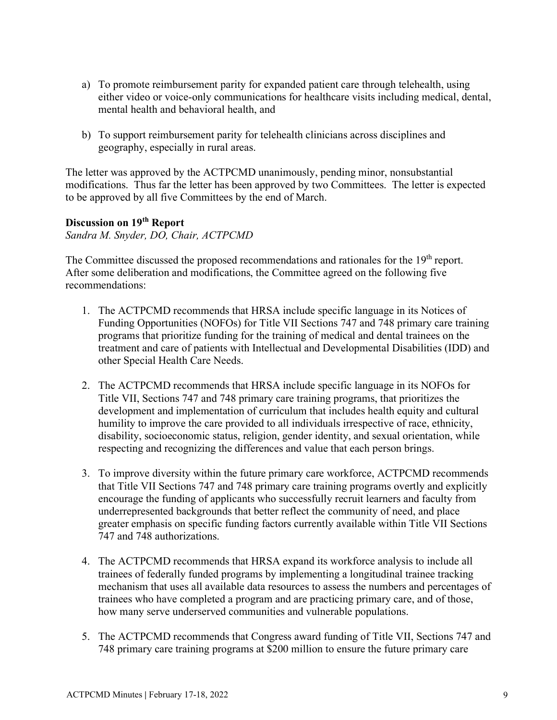- a) To promote reimbursement parity for expanded patient care through telehealth, using either video or voice-only communications for healthcare visits including medical, dental, mental health and behavioral health, and
- b) To support reimbursement parity for telehealth clinicians across disciplines and geography, especially in rural areas.

The letter was approved by the ACTPCMD unanimously, pending minor, nonsubstantial modifications. Thus far the letter has been approved by two Committees. The letter is expected to be approved by all five Committees by the end of March.

# **Discussion on 19th Report**

*Sandra M. Snyder, DO, Chair, ACTPCMD*

The Committee discussed the proposed recommendations and rationales for the 19<sup>th</sup> report. After some deliberation and modifications, the Committee agreed on the following five recommendations:

- 1. The ACTPCMD recommends that HRSA include specific language in its Notices of Funding Opportunities (NOFOs) for Title VII Sections 747 and 748 primary care training programs that prioritize funding for the training of medical and dental trainees on the treatment and care of patients with Intellectual and Developmental Disabilities (IDD) and other Special Health Care Needs.
- 2. The ACTPCMD recommends that HRSA include specific language in its NOFOs for Title VII, Sections 747 and 748 primary care training programs, that prioritizes the development and implementation of curriculum that includes health equity and cultural humility to improve the care provided to all individuals irrespective of race, ethnicity, disability, socioeconomic status, religion, gender identity, and sexual orientation, while respecting and recognizing the differences and value that each person brings.
- 3. To improve diversity within the future primary care workforce, ACTPCMD recommends that Title VII Sections 747 and 748 primary care training programs overtly and explicitly encourage the funding of applicants who successfully recruit learners and faculty from underrepresented backgrounds that better reflect the community of need, and place greater emphasis on specific funding factors currently available within Title VII Sections 747 and 748 authorizations.
- 4. The ACTPCMD recommends that HRSA expand its workforce analysis to include all trainees of federally funded programs by implementing a longitudinal trainee tracking mechanism that uses all available data resources to assess the numbers and percentages of trainees who have completed a program and are practicing primary care, and of those, how many serve underserved communities and vulnerable populations.
- 5. The ACTPCMD recommends that Congress award funding of Title VII, Sections 747 and 748 primary care training programs at \$200 million to ensure the future primary care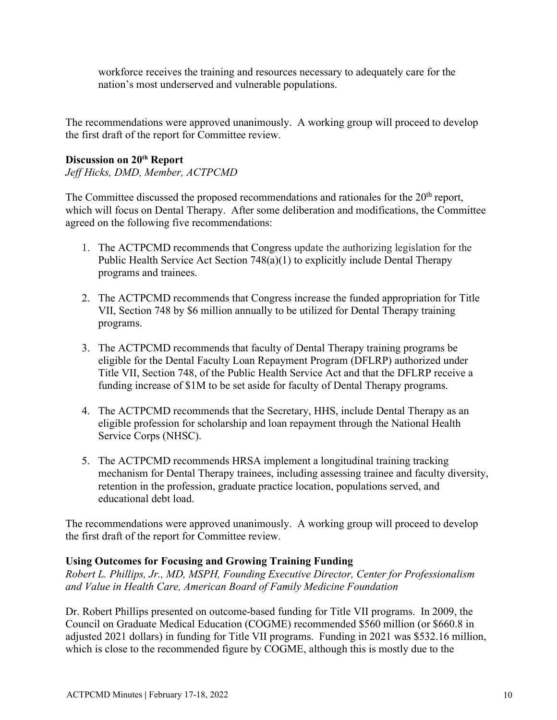workforce receives the training and resources necessary to adequately care for the nation's most underserved and vulnerable populations.

The recommendations were approved unanimously. A working group will proceed to develop the first draft of the report for Committee review.

# **Discussion on 20th Report**

*Jeff Hicks, DMD, Member, ACTPCMD*

The Committee discussed the proposed recommendations and rationales for the 20<sup>th</sup> report, which will focus on Dental Therapy. After some deliberation and modifications, the Committee agreed on the following five recommendations:

- 1. The ACTPCMD recommends that Congress update the authorizing legislation for the Public Health Service Act Section 748(a)(1) to explicitly include Dental Therapy programs and trainees.
- 2. The ACTPCMD recommends that Congress increase the funded appropriation for Title VII, Section 748 by \$6 million annually to be utilized for Dental Therapy training programs.
- 3. The ACTPCMD recommends that faculty of Dental Therapy training programs be eligible for the Dental Faculty Loan Repayment Program (DFLRP) authorized under Title VII, Section 748, of the Public Health Service Act and that the DFLRP receive a funding increase of \$1M to be set aside for faculty of Dental Therapy programs.
- 4. The ACTPCMD recommends that the Secretary, HHS, include Dental Therapy as an eligible profession for scholarship and loan repayment through the National Health Service Corps (NHSC).
- 5. The ACTPCMD recommends HRSA implement a longitudinal training tracking mechanism for Dental Therapy trainees, including assessing trainee and faculty diversity, retention in the profession, graduate practice location, populations served, and educational debt load.

The recommendations were approved unanimously. A working group will proceed to develop the first draft of the report for Committee review.

# **Using Outcomes for Focusing and Growing Training Funding**

*Robert L. Phillips, Jr., MD, MSPH, Founding Executive Director, Center for Professionalism and Value in Health Care, American Board of Family Medicine Foundation*

Dr. Robert Phillips presented on outcome-based funding for Title VII programs. In 2009, the Council on Graduate Medical Education (COGME) recommended \$560 million (or \$660.8 in adjusted 2021 dollars) in funding for Title VII programs. Funding in 2021 was \$532.16 million, which is close to the recommended figure by COGME, although this is mostly due to the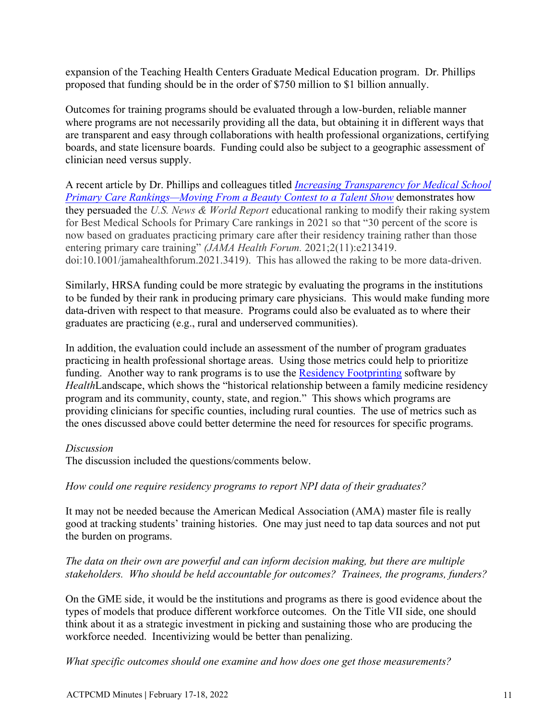expansion of the Teaching Health Centers Graduate Medical Education program. Dr. Phillips proposed that funding should be in the order of \$750 million to \$1 billion annually.

Outcomes for training programs should be evaluated through a low-burden, reliable manner where programs are not necessarily providing all the data, but obtaining it in different ways that are transparent and easy through collaborations with health professional organizations, certifying boards, and state licensure boards. Funding could also be subject to a geographic assessment of clinician need versus supply.

A recent article by Dr. Phillips and colleagues titled *[Increasing Transparency for Medical School](https://jamanetwork.com/journals/jama-health-forum/fullarticle/2786440)  [Primary Care Rankings—Moving From a Beauty Contest to a Talent Show](https://jamanetwork.com/journals/jama-health-forum/fullarticle/2786440)* demonstrates how they persuaded the *U.S. News & World Report* educational ranking to modify their raking system for Best Medical Schools for Primary Care rankings in 2021 so that "30 percent of the score is now based on graduates practicing primary care after their residency training rather than those entering primary care training" *(JAMA Health Forum.* 2021;2(11):e213419. doi:10.1001/jamahealthforum.2021.3419). This has allowed the raking to be more data-driven.

Similarly, HRSA funding could be more strategic by evaluating the programs in the institutions to be funded by their rank in producing primary care physicians. This would make funding more data-driven with respect to that measure. Programs could also be evaluated as to where their graduates are practicing (e.g., rural and underserved communities).

In addition, the evaluation could include an assessment of the number of program graduates practicing in health professional shortage areas. Using those metrics could help to prioritize funding. Another way to rank programs is to use the [Residency Footprinting](https://healthlandscape.org/portfolio/residency-footprinting/) software by *Health*Landscape, which shows the "historical relationship between a family medicine residency program and its community, county, state, and region." This shows which programs are providing clinicians for specific counties, including rural counties. The use of metrics such as the ones discussed above could better determine the need for resources for specific programs.

### *Discussion*

The discussion included the questions/comments below.

# *How could one require residency programs to report NPI data of their graduates?*

It may not be needed because the American Medical Association (AMA) master file is really good at tracking students' training histories. One may just need to tap data sources and not put the burden on programs.

# *The data on their own are powerful and can inform decision making, but there are multiple stakeholders. Who should be held accountable for outcomes? Trainees, the programs, funders?*

On the GME side, it would be the institutions and programs as there is good evidence about the types of models that produce different workforce outcomes. On the Title VII side, one should think about it as a strategic investment in picking and sustaining those who are producing the workforce needed. Incentivizing would be better than penalizing.

*What specific outcomes should one examine and how does one get those measurements?*